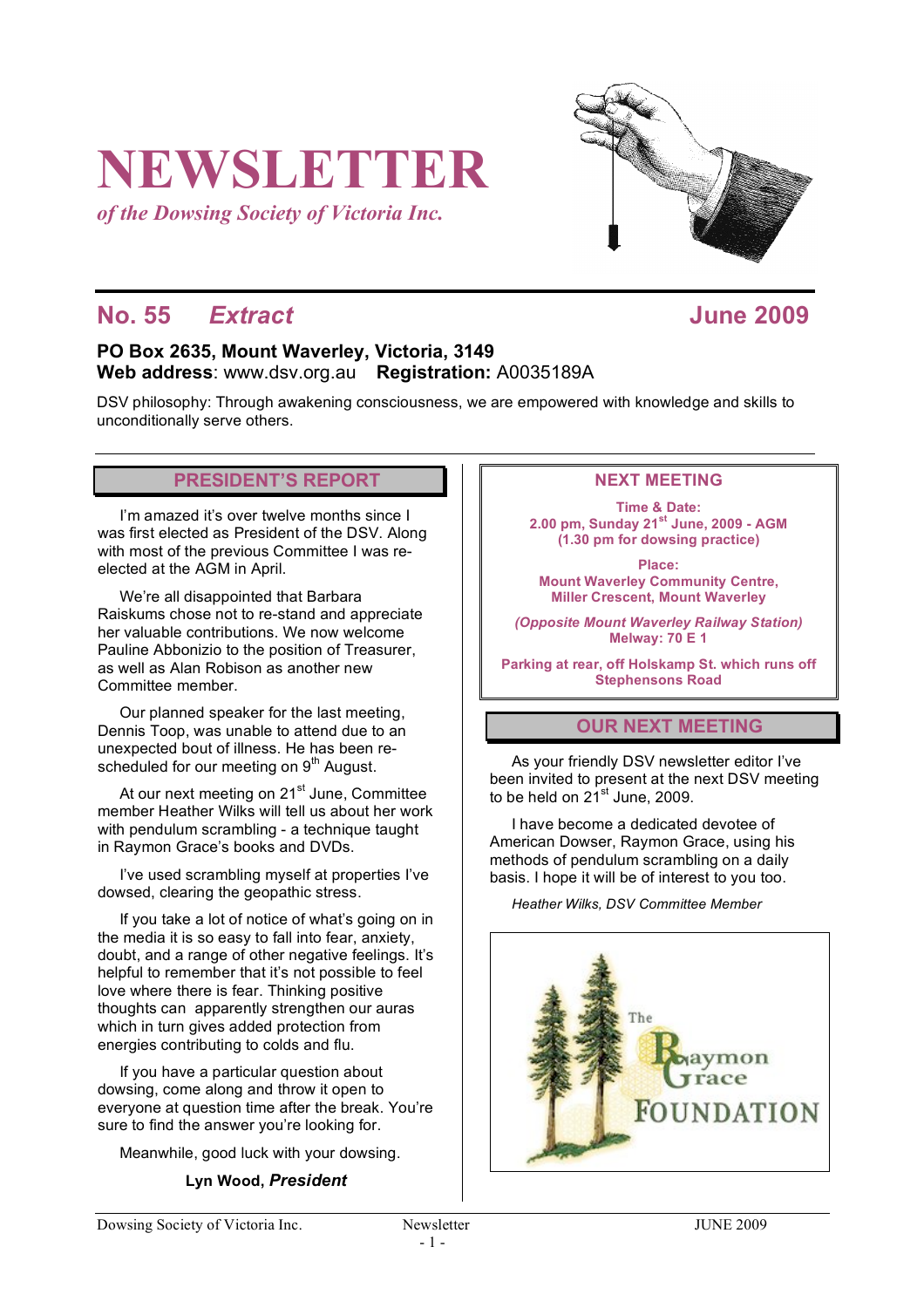# **NEWSLETTER**

*of the Dowsing Society of Victoria Inc.*

# **No. 55** *Extract* **June 2009**

# **PO Box 2635, Mount Waverley, Victoria, 3149 Web address**: www.dsv.org.au **Registration:** A0035189A

DSV philosophy: Through awakening consciousness, we are empowered with knowledge and skills to unconditionally serve others.

# **PRESIDENT'S REPORT**

I'm amazed it's over twelve months since I was first elected as President of the DSV. Along with most of the previous Committee I was reelected at the AGM in April.

We're all disappointed that Barbara Raiskums chose not to re-stand and appreciate her valuable contributions. We now welcome Pauline Abbonizio to the position of Treasurer, as well as Alan Robison as another new Committee member.

Our planned speaker for the last meeting, Dennis Toop, was unable to attend due to an unexpected bout of illness. He has been rescheduled for our meeting on 9<sup>th</sup> August.

At our next meeting on 21<sup>st</sup> June, Committee member Heather Wilks will tell us about her work with pendulum scrambling - a technique taught in Raymon Grace's books and DVDs.

I've used scrambling myself at properties I've dowsed, clearing the geopathic stress.

If you take a lot of notice of what's going on in the media it is so easy to fall into fear, anxiety, doubt, and a range of other negative feelings. It's helpful to remember that it's not possible to feel love where there is fear. Thinking positive thoughts can apparently strengthen our auras which in turn gives added protection from energies contributing to colds and flu.

If you have a particular question about dowsing, come along and throw it open to everyone at question time after the break. You're sure to find the answer you're looking for.

Meanwhile, good luck with your dowsing.

### **Lyn Wood,** *President*

## **NEXT MEETING**

**Time & Date: 2.00 pm, Sunday 21st June, 2009 - AGM (1.30 pm for dowsing practice)**

**Place: Mount Waverley Community Centre, Miller Crescent, Mount Waverley**

*(Opposite Mount Waverley Railway Station)* **Melway: 70 E 1**

**Parking at rear, off Holskamp St. which runs off Stephensons Road**

# **OUR NEXT MEETING**

As your friendly DSV newsletter editor I've been invited to present at the next DSV meeting to be held on 21 $^{\rm st}$  June, 2009.

I have become a dedicated devotee of American Dowser, Raymon Grace, using his methods of pendulum scrambling on a daily basis. I hope it will be of interest to you too.

*Heather Wilks, DSV Committee Member*



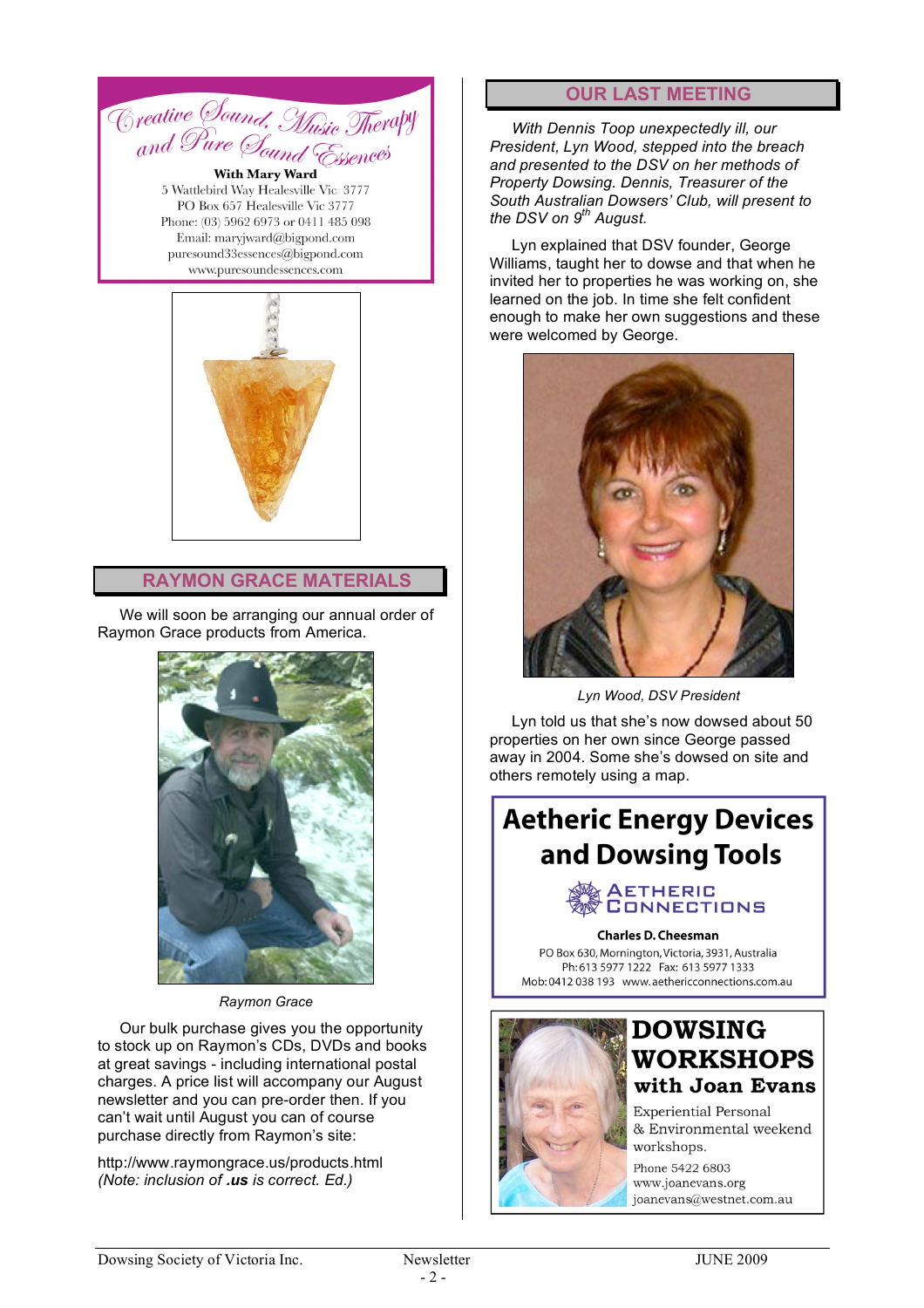

5 Wattlebird Way Healesville Vic 3777 PO Box 657 Healesville Vic 3777 Phone: (03) 5962 6973 or 0411 485 098 Email: marviward@bigpond.com puresound33essences@bigpond.com www.puresoundessences.com



#### **RAYMON GRACE MATERIALS**

We will soon be arranging our annual order of Raymon Grace products from America.



*Raymon Grace*

Our bulk purchase gives you the opportunity to stock up on Raymon's CDs, DVDs and books at great savings - including international postal charges. A price list will accompany our August newsletter and you can pre-order then. If you can't wait until August you can of course purchase directly from Raymon's site:

http://www.raymongrace.us/products.html *(Note: inclusion of .us is correct. Ed.)*

#### **OUR LAST MEETING**

*With Dennis Toop unexpectedly ill, our President, Lyn Wood, stepped into the breach and presented to the DSV on her methods of Property Dowsing. Dennis, Treasurer of the South Australian Dowsers' Club, will present to the DSV on 9th August.*

Lyn explained that DSV founder, George Williams, taught her to dowse and that when he invited her to properties he was working on, she learned on the job. In time she felt confident enough to make her own suggestions and these were welcomed by George.



*Lyn Wood, DSV President*

Lyn told us that she's now dowsed about 50 properties on her own since George passed away in 2004. Some she's dowsed on site and others remotely using a map.

# **Aetheric Energy Devices** and Dowsing Tools



#### **Charles D. Cheesman**

PO Box 630, Mornington, Victoria, 3931, Australia Ph: 613 5977 1222 Fax: 613 5977 1333 Mob: 0412 038 193 www.aethericconnections.com.au



# **DOWSING WORKSHOPS** with Joan Evans

**Experiential Personal** & Environmental weekend workshops.

Phone 5422 6803 www.joanevans.org joanevans@westnet.com.au